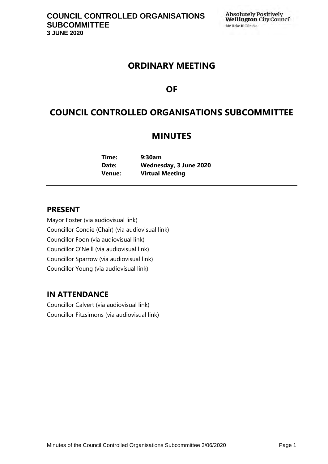# **ORDINARY MEETING**

# **OF**

# **COUNCIL CONTROLLED ORGANISATIONS SUBCOMMITTEE**

# **MINUTES**

**Time: 9:30am Date: Wednesday, 3 June 2020 Venue: Virtual Meeting**

# **PRESENT**

Mayor Foster (via audiovisual link) Councillor Condie (Chair) (via audiovisual link) Councillor Foon (via audiovisual link) Councillor O'Neill (via audiovisual link) Councillor Sparrow (via audiovisual link) Councillor Young (via audiovisual link)

# **IN ATTENDANCE**

Councillor Calvert (via audiovisual link) Councillor Fitzsimons (via audiovisual link)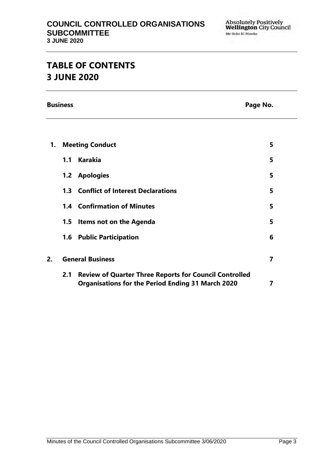# **TABLE OF CONTENTS 3 JUNE 2020**

**Business** Page No.

| 1. | <b>Meeting Conduct</b>  |                                                                                                                           | 5 |
|----|-------------------------|---------------------------------------------------------------------------------------------------------------------------|---|
|    | 1.1                     | <b>Karakia</b>                                                                                                            | 5 |
|    |                         | 1.2 Apologies                                                                                                             | 5 |
|    |                         | <b>1.3 Conflict of Interest Declarations</b>                                                                              | 5 |
|    |                         | <b>1.4 Confirmation of Minutes</b>                                                                                        | 5 |
|    |                         | 1.5 Items not on the Agenda                                                                                               | 5 |
|    |                         | <b>1.6 Public Participation</b>                                                                                           | 6 |
| 2. | <b>General Business</b> |                                                                                                                           | 7 |
|    | 2.1                     | <b>Review of Quarter Three Reports for Council Controlled</b><br><b>Organisations for the Period Ending 31 March 2020</b> | 7 |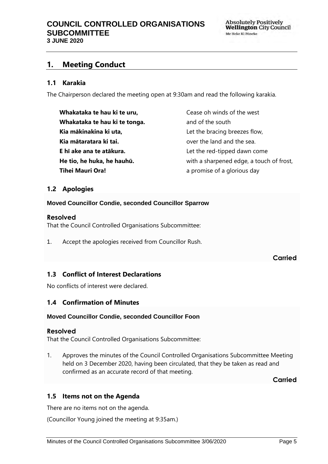# <span id="page-4-0"></span>**1. Meeting Conduct**

### **1.1 Karakia**

The Chairperson declared the meeting open at 9:30am and read the following karakia.

| Whakataka te hau ki te uru,   | Cease oh winds of the west               |
|-------------------------------|------------------------------------------|
| Whakataka te hau ki te tonga. | and of the south                         |
| Kia mākinakina ki uta,        | Let the bracing breezes flow,            |
| Kia mātaratara ki tai.        | over the land and the sea.               |
| E hī ake ana te atākura.      | Let the red-tipped dawn come             |
| He tio, he huka, he hauhū.    | with a sharpened edge, a touch of frost, |
| <b>Tihei Mauri Ora!</b>       | a promise of a glorious day              |

### <span id="page-4-1"></span>**1.2 Apologies**

**Moved Councillor Condie, seconded Councillor Sparrow**

#### **Resolved**

That the Council Controlled Organisations Subcommittee:

1. Accept the apologies received from Councillor Rush.

#### **Carried**

## <span id="page-4-2"></span>**1.3 Conflict of Interest Declarations**

No conflicts of interest were declared.

## <span id="page-4-3"></span>**1.4 Confirmation of Minutes**

#### **Moved Councillor Condie, seconded Councillor Foon**

#### **Resolved**

That the Council Controlled Organisations Subcommittee:

1. Approves the minutes of the Council Controlled Organisations Subcommittee Meeting held on 3 December 2020, having been circulated, that they be taken as read and confirmed as an accurate record of that meeting.

**Carried**

#### <span id="page-4-4"></span>**1.5 Items not on the Agenda**

There are no items not on the agenda.

(Councillor Young joined the meeting at 9:35am.)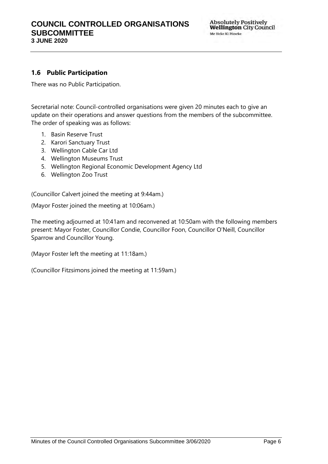# **1.6 Public Participation**

There was no Public Participation.

Secretarial note: Council-controlled organisations were given 20 minutes each to give an update on their operations and answer questions from the members of the subcommittee. The order of speaking was as follows:

- 1. Basin Reserve Trust
- 2. Karori Sanctuary Trust
- 3. Wellington Cable Car Ltd
- 4. Wellington Museums Trust
- 5. Wellington Regional Economic Development Agency Ltd
- 6. Wellington Zoo Trust

(Councillor Calvert joined the meeting at 9:44am.)

(Mayor Foster joined the meeting at 10:06am.)

The meeting adjourned at 10:41am and reconvened at 10:50am with the following members present: Mayor Foster, Councillor Condie, Councillor Foon, Councillor O'Neill, Councillor Sparrow and Councillor Young.

(Mayor Foster left the meeting at 11:18am.)

(Councillor Fitzsimons joined the meeting at 11:59am.)